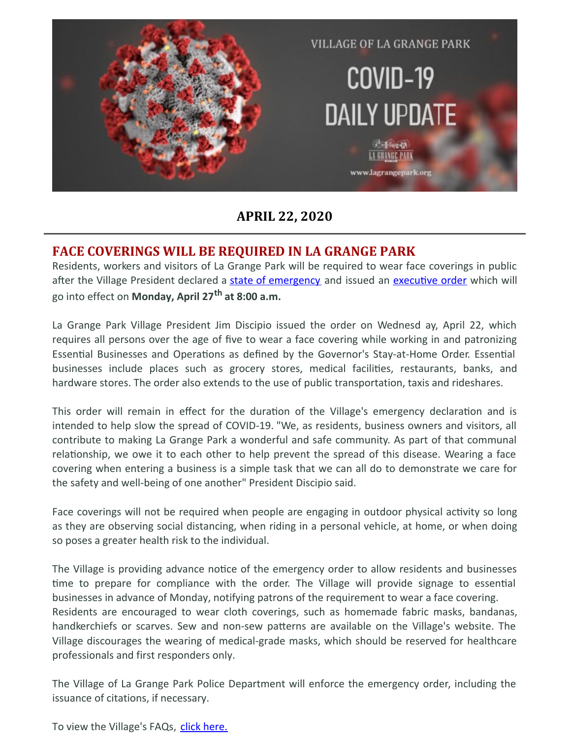

### **APRIL 22, 2020**

### **FACE COVERINGS WILL BE REQUIRED IN LA GRANGE PARK**

Residents, workers and visitors of La Grange Park will be required to wear face coverings in public after the Village President declared a state of [emergency](https://files.constantcontact.com/fac2adf0101/52eca505-a539-4434-b4f2-46e04e3c8042.pdf) and issued an executive order which will go into effect on **Monday, April 27 th at 8:00 a.m.**

La Grange Park Village President Jim Discipio issued the order on Wednesd ay, April 22, which requires all persons over the age of five to wear a face covering while working in and patronizing Essential Businesses and Operations as defined by the Governor's Stay-at-Home Order. Essential businesses include places such as grocery stores, medical facilities, restaurants, banks, and hardware stores. The order also extends to the use of public transportation, taxis and rideshares.

This order will remain in effect for the duration of the Village's emergency declaration and is intended to help slow the spread of COVID-19. "We, as residents, business owners and visitors, all contribute to making La Grange Park a wonderful and safe community. As part of that communal relationship, we owe it to each other to help prevent the spread of this disease. Wearing a face covering when entering a business is a simple task that we can all do to demonstrate we care for the safety and well-being of one another" President Discipio said.

Face coverings will not be required when people are engaging in outdoor physical activity so long as they are observing social distancing, when riding in a personal vehicle, at home, or when doing so poses a greater health risk to the individual.

The Village is providing advance notice of the emergency order to allow residents and businesses time to prepare for compliance with the order. The Village will provide signage to essential businesses in advance of Monday, notifying patrons of the requirement to wear a face covering. Residents are encouraged to wear cloth coverings, such as homemade fabric masks, bandanas, handkerchiefs or scarves. Sew and non-sew patterns are available on the Village's website. The Village discourages the wearing of medical-grade masks, which should be reserved for healthcare professionals and first responders only.

The Village of La Grange Park Police Department will enforce the emergency order, including the issuance of citations, if necessary.

To view the Village's FAQs, click [here.](https://files.constantcontact.com/fac2adf0101/51d008fb-9ded-4c22-b7d3-3424293ec473.pdf)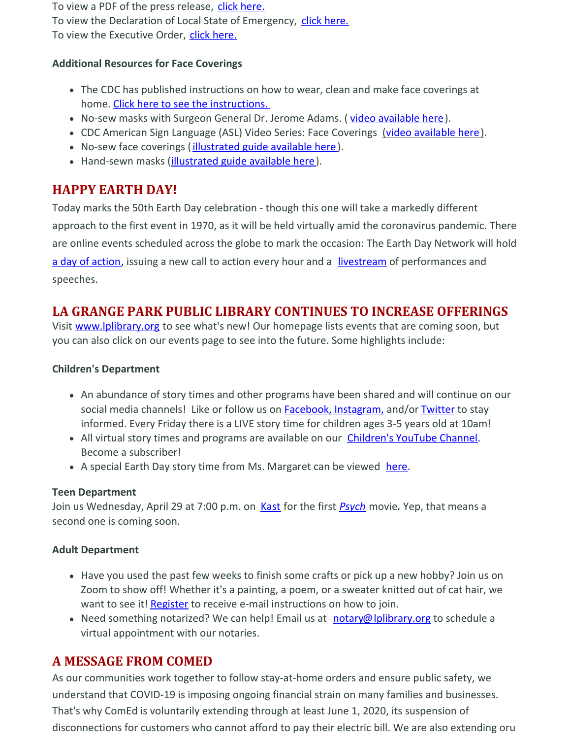To view a PDF of the press release, click [here.](https://files.constantcontact.com/fac2adf0101/1af60afc-b970-4f83-a6d0-b6a48f8d2873.pdf) To view the Declaration of Local State of Emergency, click [here.](https://files.constantcontact.com/fac2adf0101/52eca505-a539-4434-b4f2-46e04e3c8042.pdf)

To view the Executive Order, click [here.](https://files.constantcontact.com/fac2adf0101/18c65e4d-e6d5-434c-ab0c-6beea88251d0.pdf)

#### **Additional Resources for Face Coverings**

- The CDC has published instructions on how to wear, clean and make face coverings at home. Click here to see the [instructions.](https://www.cdc.gov/coronavirus/2019-ncov/downloads/DIY-cloth-face-covering-instructions.pdf)
- No-sew masks with Surgeon General Dr. Jerome Adams. ( video [available](https://www.youtube.com/watch?v=tPx1yqvJgf4) here).
- CDC American Sign Language (ASL) Video Series: Face Coverings (video [available](https://www.youtube.com/watch?v=t9cnxxsEKpk&list=PLvrp9iOILTQatwnqm61jqFrsfUB4RKh6J&index=2&t=0s) here).
- No-sew face coverings (*[illustrated](https://www.cnn.com/2020/04/04/health/how-to-make-your-own-mask-wellness-trnd/index.html) guide available here*).
- Hand-sewn masks (*illustrated guide available here*).

# **HAPPY EARTH DAY!**

Today marks the 50th Earth Day celebration - though this one will take a markedly different approach to the first event in 1970, as it will be held virtually amid the coronavirus pandemic. There are online events scheduled across the globe to mark the occasion: The Earth Day Network will hold a day of [action](http://go.politicoemail.com/?qs=8455db262d8812df2362ab8e54ed3bf9806c8fa807fbb30537130c6732e41ce30514e45d582fb22a0fcfbfc8659421e0), issuing a new call to action every hour and a [livestream](http://go.politicoemail.com/?qs=8455db262d8812df4d6cfddb954b4ddffe332c3532496b20783b4453b38ba0dedff00d1883ee2d65a6b80e09b7338aa7) of performances and speeches.

### **LA GRANGE PARK PUBLIC LIBRARY CONTINUES TO INCREASE OFFERINGS**

Visit [www.lplibrary.org](http://www.lplibrary.org/) to see what's new! Our homepage lists events that are coming soon, but you can also click on our events page to see into the future. Some highlights include:

#### **Children's Department**

- An abundance of story times and other programs have been shared and will continue on our social media channels! Like or follow us on **Facebook, [Instagram,](https://www.facebook.com/lagrangeparklibrary/) and/or [Twitter](https://twitter.com/LPLibrary)** to stay informed. Every Friday there is a LIVE story time for children ages 3-5 years old at 10am!
- All virtual story times and programs are available on our [Children's](https://www.youtube.com/channel/UCxBrckPkIK4pjrKDuddZj0w) YouTube Channel. Become a subscriber!
- A special Earth Day story time from Ms. Margaret can be viewed [here](https://www.youtube.com/watch?v=MJe_rDTQzAY&feature=youtu.be).

#### **Teen Department**

Join us Wednesday, April 29 at 7:00 p.m. on [Kast](https://www.kastapp.co/) for the first *[Psych](https://www.lplibrary.org/events2/psych-the-movie/?occurrence=2020-04-29)* movie. Yep, that means a second one is coming soon.

#### **Adult Department**

- Have you used the past few weeks to finish some crafts or pick up a new hobby? Join us on Zoom to show off! Whether it's a painting, a poem, or a sweater knitted out of cat hair, we want to see it! [Register](https://www.lplibrary.org/events2/stay-at-home-show-and-tell/) to receive e-mail instructions on how to join.
- Need something notarized? We can help! Email us at [notary@lplibrary.org](mailto:notary@lplibrary.org) to schedule a virtual appointment with our notaries.

### **A MESSAGE FROM COMED**

As our communities work together to follow stay-at-home orders and ensure public safety, we understand that COVID-19 is imposing ongoing financial strain on many families and businesses. That's why ComEd is voluntarily extending through at least June 1, 2020, its suspension of disconnections for customers who cannot afford to pay their electric bill. We are also extending oru